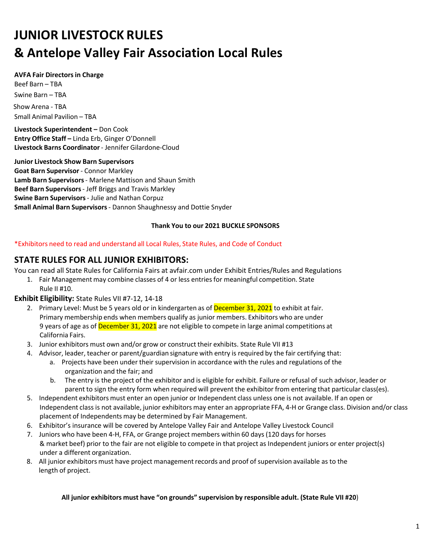# **JUNIOR LIVESTOCK RULES & Antelope Valley Fair Association Local Rules**

#### **AVFA Fair Directorsin Charge**

Beef Barn – TBA Swine Barn – TBA Show Arena - TBA Small Animal Pavilion – TBA

**Livestock Superintendent –** Don Cook **Entry Office Staff –** Linda Erb, Ginger O'Donnell **Livestock Barns Coordinator**- Jennifer Gilardone-Cloud

#### **Junior Livestock Show Barn Supervisors**

**Goat Barn Supervisor** - Connor Markley **Lamb Barn Supervisors**- Marlene Mattison and Shaun Smith **Beef Barn Supervisors**- Jeff Briggs and Travis Markley **Swine Barn Supervisors**- Julie and Nathan Corpuz **Small Animal Barn Supervisors**- Dannon Shaughnessy and Dottie Snyder

#### **Thank You to our 2021 BUCKLE SPONSORS**

\*Exhibitors need to read and understand all Local Rules, State Rules, and Code of Conduct

## **STATE RULES FOR ALL JUNIOR EXHIBITORS:**

You can read all State Rules for California Fairs at avfair.com under Exhibit Entries/Rules and Regulations

1. Fair Management may combine classes of 4 or less entriesfor meaningful competition. State Rule II #10.

#### **Exhibit Eligibility:** State Rules VII #7-12, 14-18

- 2. Primary Level: Must be 5 years old or in kindergarten as of December 31, 2021 to exhibit at fair. Primary membership ends when members qualify as junior members. Exhibitors who are under 9 years of age as of December 31, 2021 are not eligible to compete in large animal competitions at California Fairs.
- 3. Junior exhibitors must own and/or grow or construct their exhibits. State Rule VII #13
- 4. Advisor, leader, teacher or parent/guardian signature with entry is required by the fair certifying that:
	- a. Projects have been under their supervision in accordance with the rules and regulations of the organization and the fair; and
	- b. The entry is the project of the exhibitor and is eligible for exhibit. Failure or refusal of such advisor, leader or parent to sign the entry form when required will prevent the exhibitor from entering that particular class(es).
- 5. Independent exhibitors must enter an open junior or Independent class unless one is not available. If an open or Independent class is not available, junior exhibitors may enter an appropriate FFA, 4-H or Grange class. Division and/or class placement of Independents may be determined by Fair Management.
- 6. Exhibitor's insurance will be covered by Antelope Valley Fair and Antelope Valley Livestock Council
- 7. Juniors who have been 4-H, FFA, or Grange project members within 60 days (120 days for horses & market beef) prior to the fair are not eligible to compete in that project as Independent juniors or enter project(s) under a different organization.
- 8. All junior exhibitors must have project management records and proof of supervision available as to the length of project.

#### **All junior exhibitors must have "on grounds" supervision by responsible adult. (State Rule VII #20**)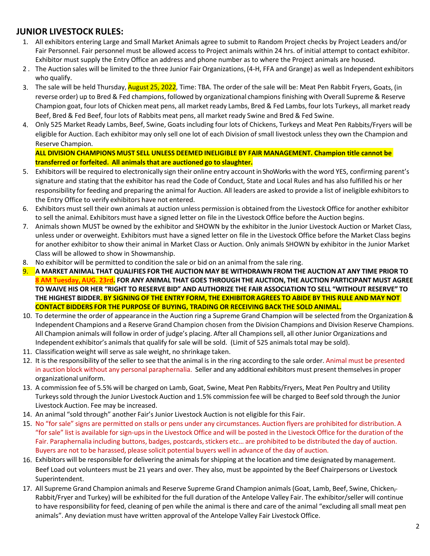## **JUNIOR LIVESTOCK RULES:**

- 1. All exhibitors entering Large and Small Market Animals agree to submit to Random Project checks by Project Leaders and/or Fair Personnel. Fair personnel must be allowed access to Project animals within 24 hrs. of initial attempt to contact exhibitor. Exhibitor must supply the Entry Office an address and phone number as to where the Project animals are housed.
- 2 . The Auction sales will be limited to the three Junior Fair Organizations, (4-H, FFA and Grange) as well as Independent exhibitors who qualify.
- 3. The sale will be held Thursday, August 25, 2022, Time: TBA. The order of the sale will be: Meat Pen Rabbit Fryers, Goats, (in reverse order) up to Bred & Fed champions, followed by organizational champions finishing with Overall Supreme & Reserve Champion goat, four lots of Chicken meat pens, all market ready Lambs, Bred & Fed Lambs, four lots Turkeys, all market ready Beef, Bred & Fed Beef, four lots of Rabbits meat pens, all market ready Swine and Bred & Fed Swine.
- 4. Only 525 Market Ready Lambs, Beef, Swine, Goats including four lots of Chickens, Turkeys and Meat Pen Rabbits/Fryers will be eligible for Auction. Each exhibitor may only sell one lot of each Division of small livestock unlessthey own the Champion and Reserve Champion.

**ALL DIVISION CHAMPIONS MUST SELL UNLESS DEEMED INELIGIBLE BY FAIR MANAGEMENT. Champion title cannot be transferred or forfeited. All animalsthat are auctioned go to slaughter.**

- 5. Exhibitors will be required to electronically sign their online entry account in ShoWorks with the word YES, confirming parent's signature and stating that the exhibitor has read the Code of Conduct, State and Local Rules and has also fulfilled his or her responsibility for feeding and preparing the animal for Auction. All leaders are asked to provide a list of ineligible exhibitorsto the Entry Office to verify exhibitors have not entered.
- 6. Exhibitors must sell their own animals at auction unless permission is obtained from the Livestock Office for another exhibitor to sell the animal. Exhibitors must have a signed letter on file in the Livestock Office before the Auction begins.
- 7. Animals shown MUST be owned by the exhibitor and SHOWN by the exhibitor in the Junior Livestock Auction or Market Class, unless under or overweight. Exhibitors must have a signed letter on file in the Livestock Office before the Market Class begins for another exhibitor to show their animal in Market Class or Auction. Only animals SHOWN by exhibitor in the Junior Market Class will be allowed to show in Showmanship.
- 8. No exhibitor will be permitted to condition the sale or bid on an animal from the sale ring.
- 9. **A MARKET ANIMAL THAT QUALIFIES FOR THE AUCTION MAY BE WITHDRAWNFROM THE AUCTION AT ANY TIME PRIOR TO 8 AM Tuesday, AUG. 23rd. FOR ANY ANIMAL THAT GOES THROUGH THE AUCTION, THE AUCTION PARTICIPANT MUST AGREE TO WAIVE HIS OR HER "RIGHT TO RESERVE BID" AND AUTHORIZE THE FAIR ASSOCIATIONTO SELL "WITHOUT RESERVE" TO** THE HIGHEST BIDDER. BY SIGNING OF THE ENTRY FORM, THE EXHIBITOR AGREES TO ABIDE BY THIS RULE AND MAY NOT **CONTACT BIDDERS FOR THE PURPOSE OF BUYING, TRADING OR RECEIVING BACK THE SOLD ANIMAL.**
- 10. To determine the order of appearance in the Auction ring a Supreme Grand Champion will be selected from the Organization& Independent Champions and a Reserve Grand Champion chosen from the Division Champions and Division Reserve Champions. All Champion animals will follow in order of judge's placing. After all Championssell, all other Junior Organizations and Independent exhibitor's animals that qualify for sale will be sold. (Limit of 525 animals total may be sold).
- 11. Classification weight will serve as sale weight, no shrinkage taken.
- 12. It is the responsibility of the seller to see that the animal is in the ring according to the sale order. Animal must be presented in auction block without any personal paraphernalia. Seller and any additional exhibitors must present themselves in proper organizational uniform.
- 13. A commission fee of 5.5% will be charged on Lamb, Goat, Swine, Meat Pen Rabbits/Fryers, Meat Pen Poultry and Utility Turkeyssold through the Junior Livestock Auction and 1.5% commission fee will be charged to Beefsold through the Junior Livestock Auction. Fee may be increased.
- 14. An animal "sold through" another Fair's Junior Livestock Auction is not eligible for this Fair.
- 15. No "for sale" signs are permitted on stalls or pens under any circumstances. Auction flyers are prohibited for distribution. A "for sale" list is available for sign-upsin the Livestock Office and will be posted in the Livestock Office for the duration of the Fair. Paraphernalia including buttons, badges, postcards, stickers etc... are prohibited to be distributed the day of auction. Buyers are not to be harassed, please solicit potential buyers well in advance of the day of auction.
- 16. Exhibitors will be responsible for delivering the animals for shipping at the location and time designated by management. Beef Load out volunteers must be 21 years and over. They also, must be appointed by the Beef Chairpersons or Livestock Superintendent.
- 17. All Supreme Grand Champion animals and Reserve Supreme Grand Champion animals (Goat, Lamb, Beef, Swine, Chicken-Rabbit/Fryer and Turkey) will be exhibited for the full duration of the Antelope Valley Fair. The exhibitor/seller will continue to have responsibility for feed, cleaning of pen while the animal is there and care of the animal "excluding all small meat pen animals". Any deviation must have written approval of the Antelope Valley Fair Livestock Office.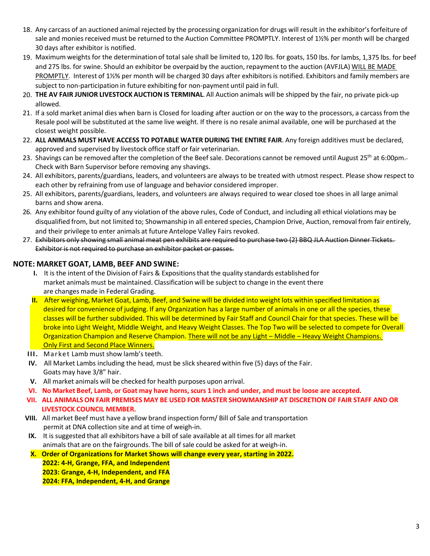- 18. Any carcass of an auctioned animal rejected by the processing organization for drugs will result in the exhibitor'sforfeiture of sale and monies received must be returned to the Auction Committee PROMPTLY. Interest of 1½% per month will be charged 30 days after exhibitor is notified.
- 19. Maximum weightsfor the determination of total sale shall be limited to, 120 lbs. for goats, 150 lbs. for lambs, 1,375 lbs. for beef and 275 lbs. for swine. Should an exhibitor be overpaid by the auction, repayment to the auction (AVFJLA) WILL BE MADE PROMPTLY. Interest of 1½% per month will be charged 30 days after exhibitors is notified. Exhibitors and family members are subject to non-participation in future exhibiting for non-payment until paid in full.
- 20. **THE AV FAIR JUNIOR LIVESTOCK AUCTION IS TERMINAL**. All Auction animals will be shipped by the fair, no private pick-up allowed.
- 21. If a sold market animal dies when barn is Closed for loading after auction or on the way to the processors, a carcassfrom the Resale pool will be substituted at the same live weight. If there is no resale animal available, one will be purchased at the closest weight possible.
- 22. **ALL ANIMALS MUST HAVE ACCESS TO POTABLE WATER DURING THE ENTIRE FAIR**. Any foreign additives must be declared, approved and supervised by livestock office staff or fair veterinarian.
- 23. Shavings can be removed after the completion of the Beef sale. Decorations cannot be removed until August 25<sup>th</sup> at 6:00pm.-Check with Barn Supervisor before removing any shavings.
- 24. All exhibitors, parents/guardians, leaders, and volunteers are always to be treated with utmost respect. Please show respect to each other by refraining from use of language and behavior considered improper.
- 25. All exhibitors, parents/guardians, leaders, and volunteers are always required to wear closed toe shoes in all large animal barns and show arena.
- 26. Any exhibitor found guilty of any violation of the above rules, Code of Conduct, and including all ethical violations may be disqualified from, but not limited to; Showmanship in all entered species, Champion Drive, Auction, removal from fair entirely, and their privilege to enter animals at future Antelope Valley Fairs revoked.
- 27. Exhibitors only showing small animal meat pen exhibits are required to purchase two (2) BBQ JLA Auction Dinner Tickets. Exhibitor is not required to purchase an exhibitor packet or passes.

#### **NOTE: MARKET GOAT, LAMB, BEEF AND SWINE:**

- **I.** It is the intent of the Division of Fairs & Expositionsthat the quality standards established for market animals must be maintained. Classification will be subject to change in the event there are changes made in Federal Grading.
- **II.** After weighing, Market Goat, Lamb, Beef, and Swine will be divided into weight lots within specified limitation as desired for convenience of judging. If any Organization has a large number of animals in one or all the species, these classes will be further subdivided. This will be determined by Fair Staff and Council Chair for that species. These will be broke into Light Weight, Middle Weight, and Heavy Weight Classes. The Top Two will be selected to compete for Overall Organization Champion and Reserve Champion. There will not be any Light – Middle – Heavy Weight Champions. Only First and Second Place Winners.
- **III.** Market Lamb must show lamb's teeth.
- **IV.** All Market Lambs including the head, must be slick sheared within five (5) days of the Fair. Goats may have 3/8" hair.
- **V.** All market animals will be checked for health purposes upon arrival.
- **VI. No Market Beef, Lamb, or Goat may have horns,scurs 1 inch and under, and must be loose are accepted.**
- **VII. ALL ANIMALS ON FAIR PREMISES MAY BE USED FOR MASTER SHOWMANSHIP AT DISCRETION OF FAIR STAFF AND OR LIVESTOCK COUNCIL MEMBER.**
- **VIII.** All market Beef must have a yellow brand inspection form/ Bill of Sale and transportation permit at DNA collection site and at time of weigh-in.
- **IX.** It is suggested that all exhibitors have a bill of sale available at all times for all market animals that are on the fairgrounds. The bill of sale could be asked for at weigh-in.
- **X. Order of Organizations for Market Shows will change every year, starting in 2022. 2022: 4-H, Grange, FFA, and Independent 2023: Grange, 4-H, Independent, and FFA**
	- **2024: FFA, Independent, 4-H, and Grange**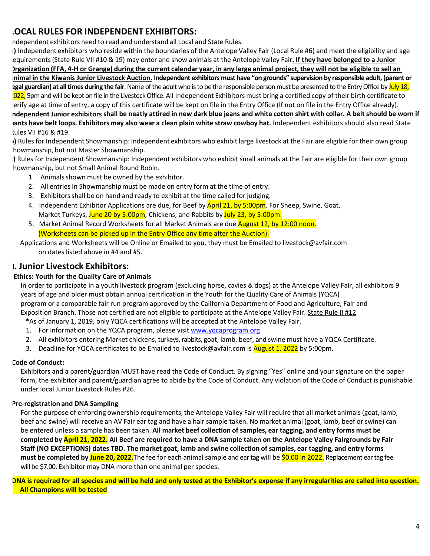# **LOCAL RULES FOR INDEPENDENT EXHIBITORS:**

ndependent exhibitors need to read and understand all Local and State Rules.

**a)** Independent exhibitors who reside within the boundaries of the Antelope Valley Fair (Local Rule #6) and meet the eligibility and age requirements(State Rule VII #10 & 19) may enter and show animals at the Antelope Valley Fair**. If they have belonged to a Junior** Irganization (FFA, 4-H or Grange) during the current calendar year, in any large animal project, they will not be eligible to sell an **animal in the Kiwanis Junior Livestock Auction. Independent exhibitors must have "on grounds" supervision by responsible adult, (parent or legal guardian) at all times during the fair**. Name of the adult who is to be the responsible person must be presented to the Entry Office by July 18, 022, 5pm and will be kept on file in the Livestock Office. All Independent Exhibitors must bring a certified copy of their birth certificate to verify age at time of entry, a copy of this certificate will be kept on file in the Entry Office (If not on file in the Entry Office already). ndependent Junior exhibitors shall be neatly attired in new dark blue jeans and white cotton shirt with collar. A belt should be worn if vants have belt loops. Exhibitors may also wear a clean plain white straw cowboy hat. Independent exhibitors should also read State Rules VII #16 & #19.

**b)** Rules for Independent Showmanship: Independent exhibitors who exhibit large livestock at the Fair are eligible for their own group howmanship, but not Master Showmanship.

**c)** Rules for Independent Showmanship: Independent exhibitors who exhibit small animals at the Fair are eligible for their own group howmanship, but not Small Animal Round Robin.

- 1. Animals shown must be owned by the exhibitor.
- 2. All entries in Showmanship must be made on entry form at the time of entry.
- 3. Exhibitorsshall be on hand and ready to exhibit at the time called for judging.
- 4. Independent Exhibitor Applications are due, for Beef by **April 21, by 5:00pm**. For Sheep, Swine, Goat, Market Turkeys, June 20 by 5:00pm, Chickens, and Rabbits by July 23, by 5:00pm.
- 5. Market Animal Record Worksheets for all Market Animals are due **August 12, by 12:00 noon.** (Worksheets can be picked up in the Entry Office any time after the Auction).

 Applications and Worksheets will be Online or Emailed to you, they must be Emailed to livestock@avfair.com on dates listed above in #4 and #5.

# **I. Junior Livestock Exhibitors:**<br>**Ethics: Youth for the Quality Care of Animals**

In order to participate in a youth livestock program (excluding horse, cavies & dogs) at the Antelope Valley Fair, all exhibitors 9 years of age and older must obtain annual certification in the Youth for the Quality Care of Animals (YQCA) program or a comparable fair run program approved by the California Department of Food and Agriculture, Fair and Exposition Branch. Those not certified are not eligible to participate at the Antelope Valley Fair. State Rule II #12

- **\***As of January 1, 2019, only YQCA certifications will be accepted at the Antelope Valley Fair.
- 1. For information on the YQCA program, please visit www.yqcaprogram.org
- 2. All exhibitors entering Market chickens, turkeys, rabbits, goat, lamb, beef, and swine must have a YQCA Certificate.
- 3. Deadline for YQCA certificates to be Emailed to livestock@avfair.com is **August 1, 2022** by 5:00pm.

#### **Code of Conduct:**

Exhibitors and a parent/guardian MUST have read the Code of Conduct. By signing "Yes" online and your signature on the paper form, the exhibitor and parent/guardian agree to abide by the Code of Conduct. Any violation of the Code of Conduct is punishable under local Junior Livestock Rules #26.

#### **Pre-registration and DNA Sampling**

For the purpose of enforcing ownership requirements, the Antelope Valley Fair will require that all market animals (goat, lamb, beef and swine) will receive an AV Fair ear tag and have a hair sample taken. No market animal (goat, lamb, beef or swine) can be entered unless a sample has been taken. **All market beef collection of samples, ear tagging, and entry forms must be completed by April 21, 2022. All Beef are required to have a DNA sample taken on the Antelope Valley Fairgrounds by Fair Staff (NO EXCEPTIONS) dates TBD. The market goat, lamb and swine collection of samples, ear tagging, and entry forms must be completed by June 20, 2022.**The fee for each animal sample and ear tag will be \$0.00 in 2022. Replacement ear tag fee will be \$7.00. Exhibitor may DNA more than one animal per species.

**DNA is required for all species and will be held and only tested at the Exhibitor's expense if any irregularities are called into question. All Champions will be tested**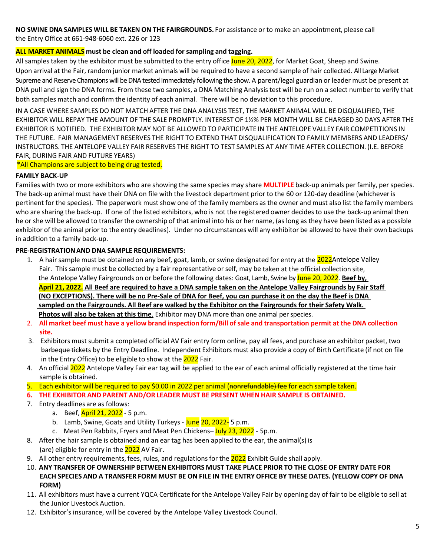**NO SWINE DNA SAMPLES WILL BE TAKEN ON THE FAIRGROUNDS.** For assistance or to make an appointment, please call the Entry Office at 661-948-6060 ext. 226 or 123

#### **ALL MARKET ANIMALS must be clean and off loaded for sampling and tagging.**

All samples taken by the exhibitor must be submitted to the entry office June 20, 2022, for Market Goat, Sheep and Swine. Upon arrival at the Fair, random junior market animals will be required to have a second sample of hair collected. All Large Market Supreme and Reserve Champions will be DNA tested immediately following the show. A parent/legal guardian or leader must be present at DNA pull and sign the DNA forms. From these two samples, a DNA Matching Analysistest will be run on a select number to verify that both samples match and confirm the identity of each animal. There will be no deviation to this procedure.

IN A CASE WHERE SAMPLES DO NOT MATCH AFTER THE DNA ANALYSIS TEST, THE MARKET ANIMAL WILL BE DISQUALIFIED, THE EXHIBITOR WILL REPAY THE AMOUNT OF THE SALE PROMPTLY. INTEREST OF 1½% PER MONTH WILL BE CHARGED 30 DAYS AFTER THE EXHIBITOR IS NOTIFIED. THE EXHIBITOR MAY NOT BE ALLOWED TO PARTICIPATE IN THE ANTELOPE VALLEY FAIR COMPETITIONS IN THE FUTURE. FAIR MANAGEMENT RESERVES THE RIGHT TO EXTEND THAT DISQUALIFICATIONTO FAMILY MEMBERS AND LEADERS/ INSTRUCTORS. THE ANTELOPE VALLEY FAIR RESERVES THE RIGHT TO TEST SAMPLES AT ANY TIME AFTER COLLECTION. (I.E. BEFORE FAIR, DURING FAIR AND FUTURE YEARS)

\*All Champions are subject to being drug tested.

#### **FAMILY BACK-UP**

Families with two or more exhibitors who are showing the same species may share **MULTIPLE** back-up animals per family, per species. The back-up animal must have their DNA on file with the livestock department prior to the 60 or 120-day deadline (whichever is pertinent for the species). The paperwork must show one of the family members as the owner and must also list the family members who are sharing the back-up. If one of the listed exhibitors, who is not the registered owner decides to use the back-up animal then he or she will be allowed to transfer the ownership of that animal into his or her name, (as long as they have been listed as a possible exhibitor of the animal prior to the entry deadlines). Under no circumstances will any exhibitor be allowed to have their own backups in addition to a family back-up.

#### **PRE-REGISTRATIONAND DNA SAMPLE REQUIREMENTS:**

- 1. A hair sample must be obtained on any beef, goat, lamb, or swine designated for entry at the 2022Antelope Valley Fair. This sample must be collected by a fair representative or self, may be taken at the official collection site, the Antelope Valley Fairgrounds on or before the following dates: Goat, Lamb, Swine by June 20, 2022. **Beef by, April 21, 2022. All Beef are required to have a DNA sample taken on the Antelope Valley Fairgrounds by Fair Staff (NO EXCEPTIONS). There will be no Pre-Sale of DNA for Beef, you can purchase it on the day the Beef is DNA sampled on the Fairgrounds. All Beef are walked by the Exhibitor on the Fairgrounds for their Safety Walk. Photos will also be taken at this time**. Exhibitor may DNA more than one animal per species.
- 2. All market beef must have a yellow brand inspection form/Bill of sale and transportation permit at the DNA collection **site.**
- 3. Exhibitors must submit a completed official AV Fair entry form online, pay all fees, and purchase an exhibitor packet, two barbeque tickets by the Entry Deadline. Independent Exhibitors must also provide a copy of Birth Certificate (if not on file in the Entry Office) to be eligible to show at the 2022 Fair.
- 4. An official 2022 Antelope Valley Fair ear tag will be applied to the ear of each animal officially registered at the time hair sample is obtained.
- 5. Each exhibitor will be required to pay \$0.00 in 2022 per animal (nonrefundable) fee for each sample taken.
- **6. THE EXHIBITOR AND PARENT AND/OR LEADER MUST BE PRESENT WHEN HAIR SAMPLE IS OBTAINED.**
- 7. Entry deadlines are as follows:
	- a. Beef, April 21, 2022 5 p.m.
	- b. Lamb, Swine, Goats and Utility Turkeys June 20, 2022- 5 p.m.
	- c. Meat Pen Rabbits, Fryers and Meat Pen Chickens– July 23, 2022 5p.m.
- 8. After the hair sample is obtained and an ear tag has been applied to the ear, the animal(s) is (are) eligible for entry in the 2022 AV Fair.
- 9. All other entry requirements, fees, rules, and regulations for the 2022 Exhibit Guide shall apply.
- 10. **ANY TRANSFER OF OWNERSHIP BETWEEN EXHIBITORS MUST TAKE PLACE PRIOR TO THE CLOSE OF ENTRY DATE FOR** EACH SPECIES AND A TRANSFER FORM MUST BE ON FILE IN THE ENTRY OFFICE BY THESE DATES. (YELLOW COPY OF DNA **FORM)**
- 11. All exhibitors must have a current YQCA Certificate for the Antelope Valley Fair by opening day of fair to be eligible to sell at the Junior Livestock Auction.
- 12. Exhibitor's insurance, will be covered by the Antelope Valley Livestock Council.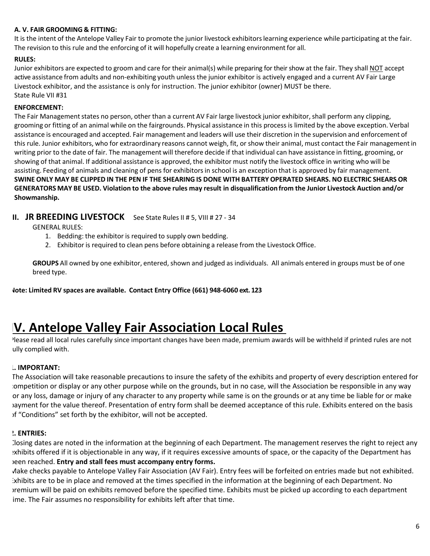#### **A. V. FAIR GROOMING & FITTING:**

It is the intent of the Antelope Valley Fair to promote the junior livestock exhibitors learning experience while participating at the fair. The revision to this rule and the enforcing of it will hopefully create a learning environment for all.

#### **RULES:**

Junior exhibitors are expected to groom and care for their animal(s) while preparing for their show at the fair. They shall NOT accept active assistance from adults and non-exhibiting youth unless the junior exhibitor is actively engaged and a current AV Fair Large Livestock exhibitor, and the assistance is only for instruction. The junior exhibitor (owner) MUST be there. State Rule VII #31

#### **ENFORCEMENT:**

The Fair Management states no person, other than a current AV Fair large livestock junior exhibitor, shall perform any clipping, grooming or fitting of an animal while on the fairgrounds. Physical assistance in this processis limited by the above exception. Verbal assistance is encouraged and accepted. Fair management and leaders will use their discretion in the supervision and enforcement of this rule. Junior exhibitors, who for extraordinary reasons cannot weigh, fit, or show their animal, must contact the Fair managementin writing prior to the date of fair. The management will therefore decide if that individual can have assistance in fitting, grooming, or showing of that animal. If additional assistance is approved, the exhibitor must notify the livestock office in writing who will be assisting. Feeding of animals and cleaning of pens for exhibitors in school is an exception that is approved by fair management. SWINE ONLY MAY BE CLIPPED IN THE PEN IF THE SHEARING IS DONE WITH BATTERY OPERATED SHEARS. NO ELECTRIC SHEARS OR GENERATORS MAY BE USED. Violation to the above rules may result in disqualification from the Junior Livestock Auction and/or **Showmanship.**

### **III.** JR BREEDING LIVESTOCK See State Rules II # 5, VIII # 27 - 34

GENERAL RULES:

- 1. Bedding: the exhibitor is required to supply own bedding.
- 2. Exhibitor is required to clean pens before obtaining a release from the Livestock Office.

**GROUPS** All owned by one exhibitor, entered, shown and judged as individuals. All animals entered in groups must be of one breed type.

**Note: Limited RV spaces are available. Contact Entry Office (661) 948-6060 ext. 123**

# **IV. Antelope Valley Fair Association Local Rules**

Please read all local rules carefully since important changes have been made, premium awards will be withheld if printed rules are not ully complied with.

#### **1. IMPORTANT:**

The Association will take reasonable precautions to insure the safety of the exhibits and property of every description entered for competition or display or any other purpose while on the grounds, but in no case, will the Association be responsible in any way for any loss, damage or injury of any character to any property while same is on the grounds or at any time be liable for or make payment for the value thereof. Presentation of entry form shall be deemed acceptance of this rule. Exhibits entered on the basis of "Conditions" set forth by the exhibitor, will not be accepted.

#### **2. ENTRIES:**

Closing dates are noted in the information at the beginning of each Department. The management reserves the right to reject any exhibits offered if it is objectionable in any way, if it requires excessive amounts of space, or the capacity of the Department has been reached. **Entry and stall fees must accompany entry forms.** 

Make checks payable to Antelope Valley Fair Association (AV Fair). Entry fees will be forfeited on entries made but not exhibited. Exhibits are to be in place and removed at the times specified in the information at the beginning of each Department. No premium will be paid on exhibits removed before the specified time. Exhibits must be picked up according to each department ime. The Fair assumes no responsibility for exhibits left after that time.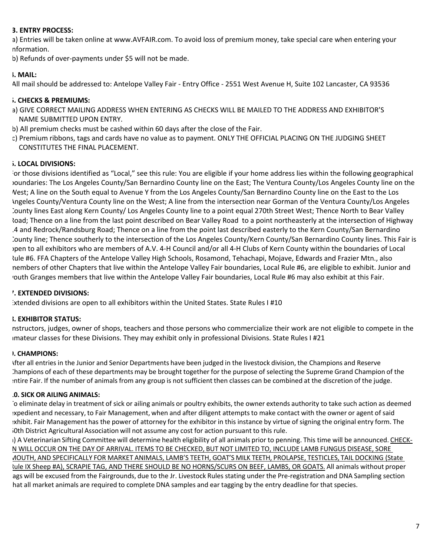#### **3. ENTRY PROCESS:**

a) Entries will be taken online at www.AVFAIR.com. To avoid loss of premium money, take special care when entering your nformation.

b) Refunds of over-payments under \$5 will not be made.

#### **4. MAIL:**

All mail should be addressed to: Antelope Valley Fair - Entry Office - 2551 West Avenue H, Suite 102 Lancaster, CA 93536

#### **5. CHECKS & PREMIUMS:**

- a) GIVE CORRECT MAILING ADDRESS WHEN ENTERING AS CHECKS WILL BE MAILED TO THE ADDRESS AND EXHIBITOR'S NAME SUBMITTED UPON ENTRY.
- b) All premium checks must be cashed within 60 days after the close of the Fair.
- c) Premium ribbons, tags and cards have no value as to payment. ONLY THE OFFICIAL PLACING ON THE JUDGING SHEET CONSTITUTES THE FINAL PLACEMENT.

#### **6. LOCAL DIVISIONS:**

For those divisions identified as "Local," see this rule: You are eligible if your home address lies within the following geographical boundaries: The Los Angeles County/San Bernardino County line on the East; The Ventura County/Los Angeles County line on the West; A line on the South equal to Avenue Y from the Los Angeles County/San Bernardino County line on the East to the Los Angeles County/Ventura County line on the West; A line from the intersection near Gorman of the Ventura County/Los Angeles County lines East along Kern County/ Los Angeles County line to a point equal 270th Street West; Thence North to Bear Valley load; Thence on a line from the last point described on Bear Valley Road to a point northeasterly at the intersection of Highway 14 and Redrock/Randsburg Road; Thence on a line from the point last described easterly to the Kern County/San Bernardino County line; Thence southerly to the intersection of the Los Angeles County/Kern County/San Bernardino County lines. This Fair is open to all exhibitors who are members of A.V. 4-H Council and/or all 4-H Clubs of Kern County within the boundaries of Local Rule #6. FFA Chapters of the Antelope Valley High Schools, Rosamond, Tehachapi, Mojave, Edwards and Frazier Mtn., also members of other Chapters that live within the Antelope Valley Fair boundaries, Local Rule #6, are eligible to exhibit. Junior and youth Granges members that live within the Antelope Valley Fair boundaries, Local Rule #6 may also exhibit at this Fair.

#### **7. EXTENDED DIVISIONS:**

Extended divisions are open to all exhibitors within the United States. State Rules I #10

#### **8. EXHIBITOR STATUS:**

nstructors, judges, owner of shops, teachers and those persons who commercialize their work are not eligible to compete in the amateur classes for these Divisions. They may exhibit only in professional Divisions. State Rules I #21

#### **9. CHAMPIONS:**

After all entriesin the Junior and Senior Departments have been judged in the livestock division, the Champions and Reserve Champions of each of these departments may be brought together for the purpose of selecting the Supreme Grand Champion of the entire Fair. If the number of animalsfrom any group is not sufficient then classes can be combined at the discretion of the judge.

#### **10. SICK OR AILING ANIMALS:**

To eliminate delay in treatment of sick or ailing animals or poultry exhibits, the owner extends authority to take such action as deemed expedient and necessary, to Fair Management, when and after diligent attempts to make contact with the owner or agent of said exhibit. Fair Management has the power of attorney for the exhibitor in this instance by virtue of signing the original entry form. The 50th District Agricultural Association will not assume any cost for action pursuant to this rule.

(1) A Veterinarian Sifting Committee will determine health eligibility of all animals prior to penning. This time will be announced. CHECK-N WILL OCCUR ON THE DAY OF ARRIVAL. ITEMS TO BE CHECKED, BUT NOT LIMITED TO, INCLUDE LAMB FUNGUS DISEASE, SORE MOUTH, AND SPECIFICALLY FOR MARKET ANIMALS, LAMB'S TEETH, GOAT'S MILK TEETH, PROLAPSE, TESTICLES, TAIL DOCKING (State Rule IX Sheep #A), SCRAPIE TAG, AND THERE SHOULD BE NO HORNS/SCURS ON BEEF, LAMBS, OR GOATS. All animals without proper ags will be excused from the Fairgrounds, due to the Jr. Livestock Rules stating under the Pre-registration and DNA Sampling section hat all market animals are required to complete DNA samples and ear tagging by the entry deadline for that species.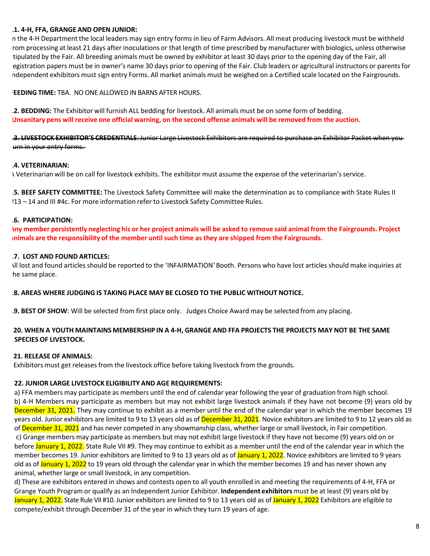#### **11. 4-H, FFA, GRANGE AND OPEN JUNIOR:**

In the 4-H Department the local leaders may sign entry forms in lieu of Farm Advisors. All meat producing livestock must be withheld rom processing at least 21 days after inoculations or that length of time prescribed by manufacturer with biologics, unless otherwise tipulated by the Fair. All breeding animals must be owned by exhibitor at least 30 days prior to the opening day of the Fair, all egistration papers must be in owner's name 30 days prior to opening of the Fair. Club leaders or agricultural instructors or parents for independent exhibitors must sign entry Forms. All market animals must be weighed on a Certified scale located on the Fairgrounds.

#### **FEEDING TIME:** TBA. NO ONE ALLOWED IN BARNS AFTER HOURS.

**12. BEDDING:** The Exhibitor will furnish ALL bedding for livestock. All animals must be on some form of bedding. Unsanitary pens will receive one official warning, on the second offense animals will be removed from the auction.

**13. LIVESTOCK EXHIBITOR'S CREDENTIALS**: Junior Large Livestock Exhibitors are required to purchase an Exhibitor Packet when you urn in your entry forms.

#### **14. VETERINARIAN:**

A Veterinarian will be on call for livestock exhibits. The exhibitor must assume the expense of the veterinarian'sservice.

**15. BEEF SAFETY COMMITTEE:** The Livestock Safety Committee will make the determination as to compliance with State Rules II #13 – 14 and III #4c. For more information refer to Livestock Safety Committee Rules.

#### **16. PARTICIPATION:**

Iny member persistently neglecting his or her project animals will be asked to remove said animal from the Fairgrounds. Project **animals are the responsibility of the member until such time as they are shipped from the Fairgrounds.**

#### **17. LOST AND FOUND ARTICLES:**

All lost and found articles should be reported to the 'INFAIRMATION' Booth. Persons who have lost articlesshould make inquiries at he same place.

#### **18. AREAS WHERE JUDGING IS TAKING PLACE MAY BE CLOSED TO THE PUBLIC WITHOUT NOTICE.**

**19. BEST OF SHOW**: Will be selected from first place only. Judges Choice Award may be selected from any placing.

#### 20. WHEN A YOUTH MAINTAINS MEMBERSHIP IN A 4-H, GRANGE AND FFA PROJECTS THE PROJECTS MAY NOT BE THE SAME  **SPECIES OF LIVESTOCK.**

#### **21. RELEASE OF ANIMALS:**

Exhibitors must get releasesfrom the livestock office before taking livestock from the grounds.

#### **22. JUNIOR LARGE LIVESTOCK ELIGIBILITY AND AGE REQUIREMENTS:**

a) FFA members may participate as members until the end of calendar year following the year of graduation from high school. b) 4-H Members may participate as members but may not exhibit large livestock animals if they have not become (9) years old by December 31, 2021. They may continue to exhibit as a member until the end of the calendar year in which the member becomes 19 years old. Junior exhibitors are limited to 9 to 13 years old as of December 31, 2021. Novice exhibitors are limited to 9 to 12 years old as of December 31, 2021 and has never competed in any showmanship class, whether large or small livestock, in Fair competition. c) Grange members may participate as members but may not exhibit large livestock if they have not become (9) years old on or before January 1, 2022. State Rule VII #9. They may continue to exhibit as a member until the end of the calendar year in which the member becomes 19. Junior exhibitors are limited to 9 to 13 years old as of January 1, 2022. Novice exhibitors are limited to 9 years old as of January 1, 2022 to 19 years old through the calendar year in which the member becomes 19 and has never shown any animal, whether large or small livestock, in any competition.

d) These are exhibitors entered in shows and contests open to all youth enrolled in and meeting the requirements of 4-H, FFA or Grange Youth Program or qualify as an Independent Junior Exhibitor. **Independent exhibitors** must be at least (9) years old by January 1, 2022. State Rule VII #10. Junior exhibitors are limited to 9 to 13 years old as of January 1, 2022 Exhibitors are eligible to compete/exhibit through December 31 of the year in which they turn 19 years of age.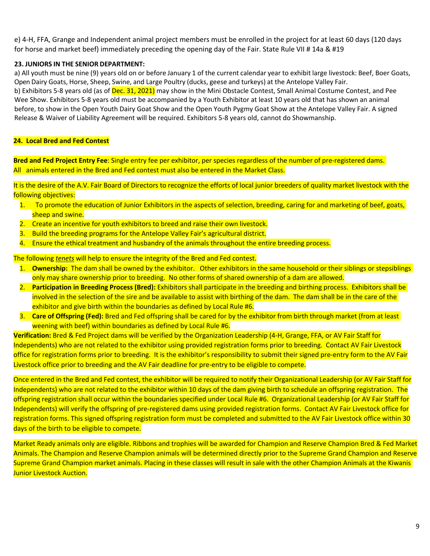e) 4-H, FFA, Grange and Independent animal project members must be enrolled in the project for at least 60 days (120 days for horse and market beef) immediately preceding the opening day of the Fair. State Rule VII # 14a & #19

#### **23. JUNIORS IN THE SENIOR DEPARTMENT:**

a) All youth must be nine (9) years old on or before January 1 of the current calendar year to exhibit large livestock: Beef, Boer Goats, Open Dairy Goats, Horse, Sheep, Swine, and Large Poultry (ducks, geese and turkeys) at the Antelope Valley Fair. b) Exhibitors 5-8 years old (as of Dec. 31, 2021) may show in the Mini Obstacle Contest, Small Animal Costume Contest, and Pee Wee Show. Exhibitors 5-8 years old must be accompanied by a Youth Exhibitor at least 10 years old that has shown an animal before, to show in the Open Youth Dairy Goat Show and the Open Youth Pygmy Goat Show at the Antelope Valley Fair. A signed Release & Waiver of Liability Agreement will be required. Exhibitors 5-8 years old, cannot do Showmanship.

#### **24. Local Bred and Fed Contest**

 **Bred and Fed Project Entry Fee**: Single entry fee per exhibitor, per species regardless of the number of pre-registered dams. All animals entered in the Bred and Fed contest must also be entered in the Market Class.

It is the desire of the A.V. Fair Board of Directors to recognize the efforts of local junior breeders of quality market livestock with the following objectives:

- 1. To promote the education of Junior Exhibitors in the aspects of selection, breeding, caring for and marketing of beef, goats, sheep and swine.
- 2. Create an incentive for youth exhibitors to breed and raise their own livestock.
- 3. Build the breeding programs for the Antelope Valley Fair's agricultural district.
- 4. Ensure the ethical treatment and husbandry of the animals throughout the entire breeding process.

The following *tenets* will help to ensure the integrity of the Bred and Fed contest.

- 1. **Ownership:** The dam shall be owned by the exhibitor. Other exhibitors in the same household or their siblings or stepsiblings only may share ownership prior to breeding. No other forms of shared ownership of a dam are allowed.
- 2. **Participation in Breeding Process (Bred):** Exhibitors shall participate in the breeding and birthing process. Exhibitors shall be involved in the selection of the sire and be available to assist with birthing of the dam. The dam shall be in the care of the exhibitor and give birth within the boundaries as defined by Local Rule #6.
- 3. **Care of Offspring (Fed):** Bred and Fed offspring shall be cared for by the exhibitor from birth through market (from at least weening with beef) within boundaries as defined by Local Rule #6.

 **Verification:** Bred & Fed Project dams will be verified by the Organization Leadership (4-H, Grange, FFA, or AV Fair Staff for Independents) who are not related to the exhibitor using provided registration forms prior to breeding. Contact AV Fair Livestock office for registration forms prior to breeding. It is the exhibitor's responsibility to submit their signed pre-entry form to the AV Fair Livestock office prior to breeding and the AV Fair deadline for pre-entry to be eligible to compete.

 Once entered in the Bred and Fed contest, the exhibitor will be required to notify their Organizational Leadership (or AV Fair Staff for Independents) who are not related to the exhibitor within 10 days of the dam giving birth to schedule an offspring registration. The offspring registration shall occur within the boundaries specified under Local Rule #6. Organizational Leadership (or AV Fair Staff for Independents) will verify the offspring of pre-registered dams using provided registration forms. Contact AV Fair Livestock office for registration forms. This signed offspring registration form must be completed and submitted to the AV Fair Livestock office within 30 days of the birth to be eligible to compete.

 Market Ready animals only are eligible. Ribbons and trophies will be awarded for Champion and Reserve Champion Bred & Fed Market Animals. The Champion and Reserve Champion animals will be determined directly prior to the Supreme Grand Champion and Reserve Supreme Grand Champion market animals. Placing in these classes will result in sale with the other Champion Animals at the Kiwanis **Junior Livestock Auction.**